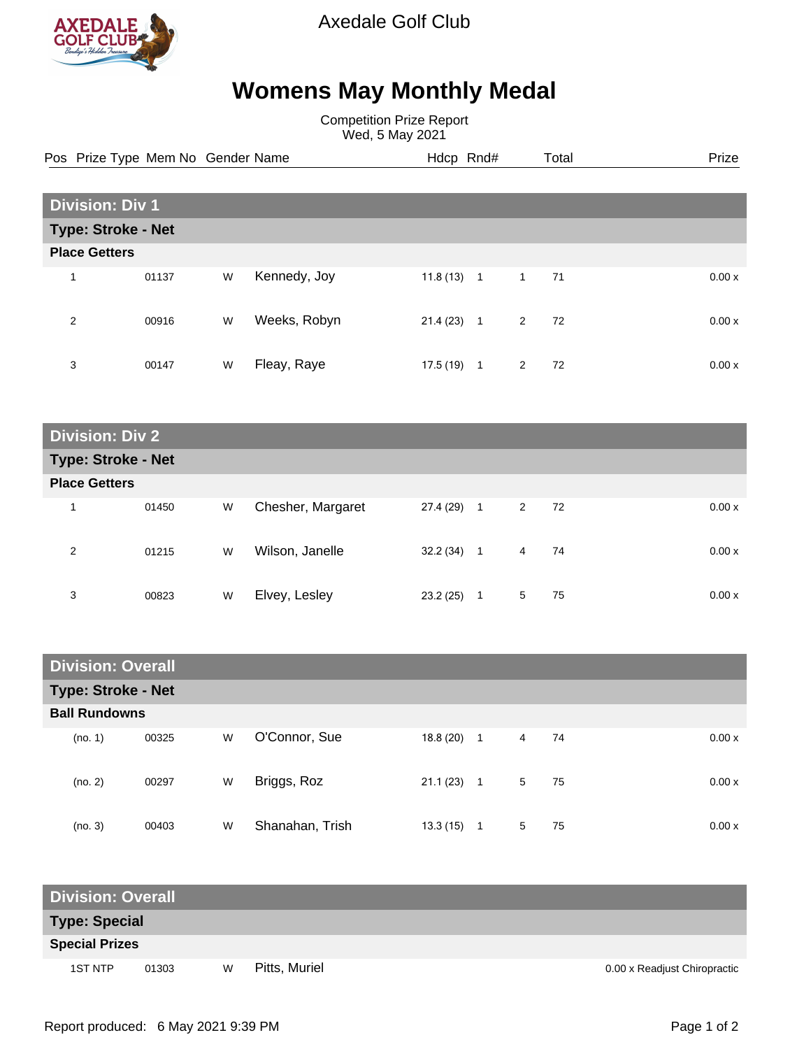

Axedale Golf Club

## **Womens May Monthly Medal**

Competition Prize Report Wed, 5 May 2021

Pos Prize Type Mem No Gender Name **Heath Hotel Hotel And Heath Accord Prize** Prize

| <b>Division: Div 1</b> |                           |   |              |              |                |         |        |  |  |
|------------------------|---------------------------|---|--------------|--------------|----------------|---------|--------|--|--|
|                        | <b>Type: Stroke - Net</b> |   |              |              |                |         |        |  |  |
|                        | <b>Place Getters</b>      |   |              |              |                |         |        |  |  |
| 1                      | 01137                     | W | Kennedy, Joy | $11.8(13)$ 1 | $\overline{1}$ | -71     | 0.00 x |  |  |
| 2                      | 00916                     | W | Weeks, Robyn | 21.4(23)     | $\mathbf{1}$   | 2<br>72 | 0.00x  |  |  |
| 3                      | 00147                     | W | Fleay, Raye  | 17.5(19)     | 1              | 72<br>2 | 0.00 x |  |  |

| <b>Division: Div 2</b>    |       |   |                   |              |   |                      |       |  |
|---------------------------|-------|---|-------------------|--------------|---|----------------------|-------|--|
| <b>Type: Stroke - Net</b> |       |   |                   |              |   |                      |       |  |
| <b>Place Getters</b>      |       |   |                   |              |   |                      |       |  |
| 1                         | 01450 | W | Chesher, Margaret | $27.4(29)$ 1 |   | 2<br>72              | 0.00x |  |
| 2                         | 01215 | W | Wilson, Janelle   | $32.2(34)$ 1 |   | $\overline{4}$<br>74 | 0.00x |  |
| 3                         | 00823 | W | Elvey, Lesley     | 23.2(25)     | 1 | 75<br>5              | 0.00x |  |

| <b>Division: Overall</b>  |       |   |                 |           |                |   |    |  |       |
|---------------------------|-------|---|-----------------|-----------|----------------|---|----|--|-------|
| <b>Type: Stroke - Net</b> |       |   |                 |           |                |   |    |  |       |
| <b>Ball Rundowns</b>      |       |   |                 |           |                |   |    |  |       |
| (no. 1)                   | 00325 | W | O'Connor, Sue   | 18.8 (20) | $\overline{1}$ | 4 | 74 |  | 0.00x |
| (no. 2)                   | 00297 | W | Briggs, Roz     | 21.1(23)  | $\overline{1}$ | 5 | 75 |  | 0.00x |
| (no. 3)                   | 00403 | W | Shanahan, Trish | 13.3(15)  | 1              | 5 | 75 |  | 0.00x |

| <b>Division: Overall</b> |       |   |               |                              |  |  |  |  |
|--------------------------|-------|---|---------------|------------------------------|--|--|--|--|
| <b>Type: Special</b>     |       |   |               |                              |  |  |  |  |
| <b>Special Prizes</b>    |       |   |               |                              |  |  |  |  |
| 1ST NTP                  | 01303 | W | Pitts, Muriel | 0.00 x Readjust Chiropractic |  |  |  |  |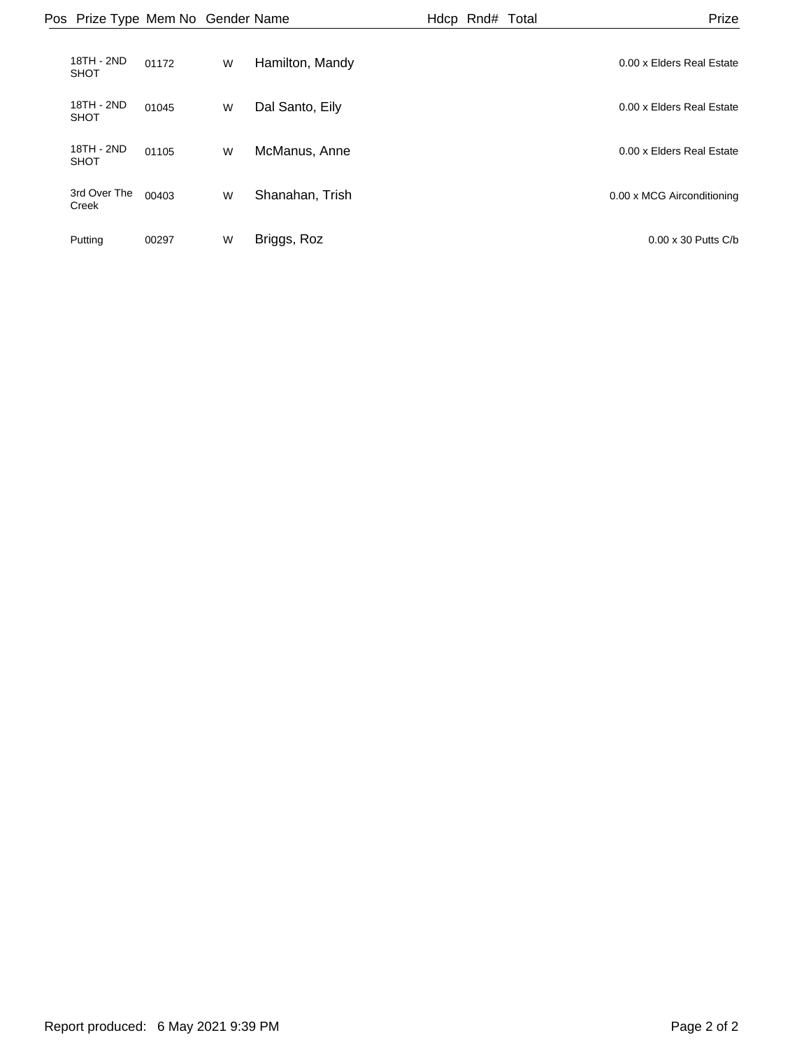| Pos Prize Type Mem No Gender Name |       |   |                 | Hdcp Rnd# Total | Prize                      |
|-----------------------------------|-------|---|-----------------|-----------------|----------------------------|
| 18TH - 2ND<br><b>SHOT</b>         | 01172 | W | Hamilton, Mandy |                 | 0.00 x Elders Real Estate  |
| 18TH - 2ND<br><b>SHOT</b>         | 01045 | W | Dal Santo, Eily |                 | 0.00 x Elders Real Estate  |
| 18TH - 2ND<br><b>SHOT</b>         | 01105 | W | McManus, Anne   |                 | 0.00 x Elders Real Estate  |
| 3rd Over The<br>Creek             | 00403 | W | Shanahan, Trish |                 | 0.00 x MCG Airconditioning |
| Putting                           | 00297 | W | Briggs, Roz     |                 | $0.00 \times 30$ Putts C/b |